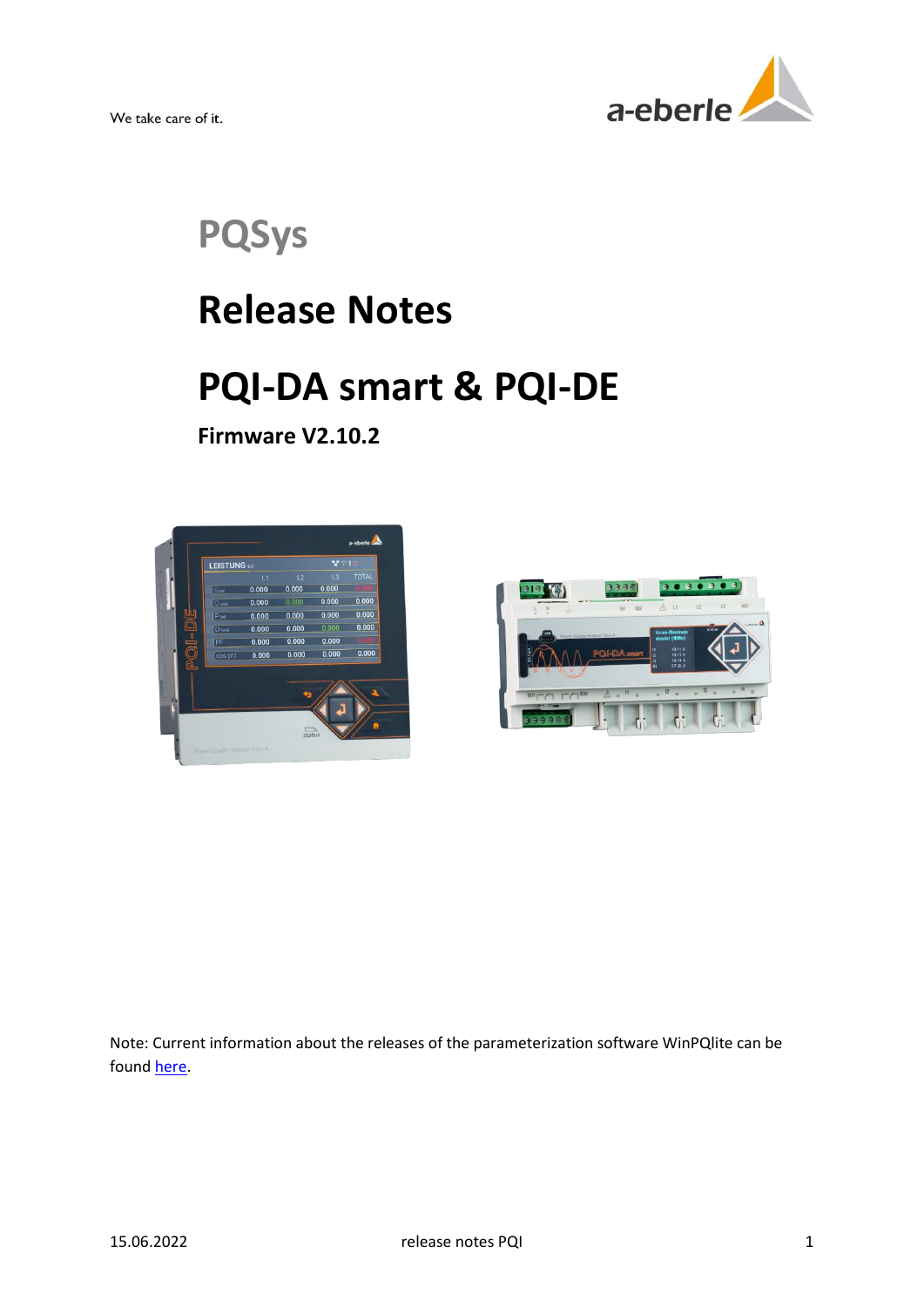

**PQSys**

## **Release Notes**

# **PQI-DA smart & PQI-DE**

**Firmware V2.10.2**





Note: Current information about the releases of the parameterization software WinPQlite can be found [here.](https://www.a-eberle.de/wp-content/uploads/2021/04/ReleaseNotes_WinPQlite_EN.pdf)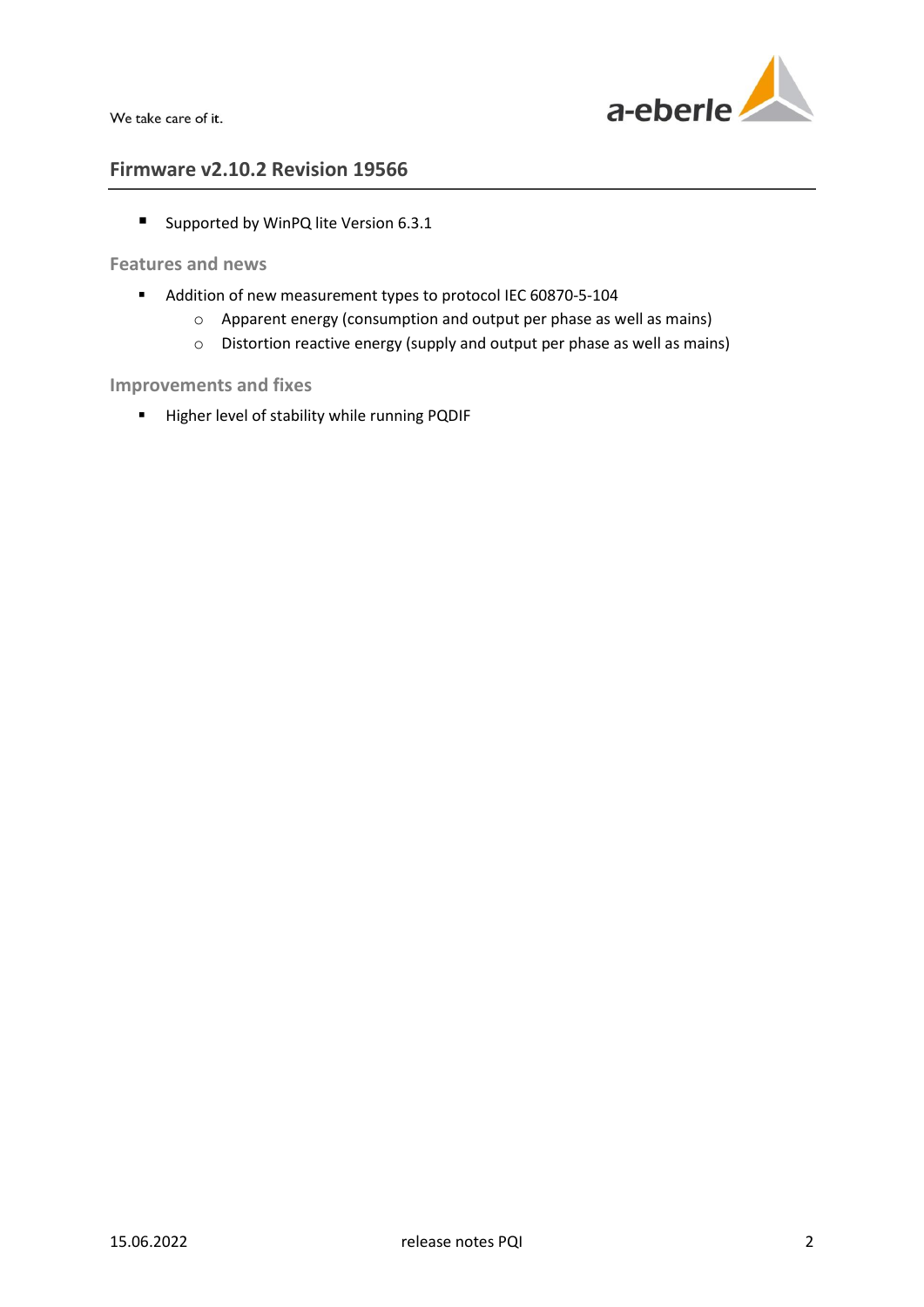

## **Firmware v2.10.2 Revision 19566**

■ Supported by WinPQ lite Version 6.3.1

## **Features and news**

- Addition of new measurement types to protocol IEC 60870-5-104
	- o Apparent energy (consumption and output per phase as well as mains)
	- o Distortion reactive energy (supply and output per phase as well as mains)

## **Improvements and fixes**

Higher level of stability while running PQDIF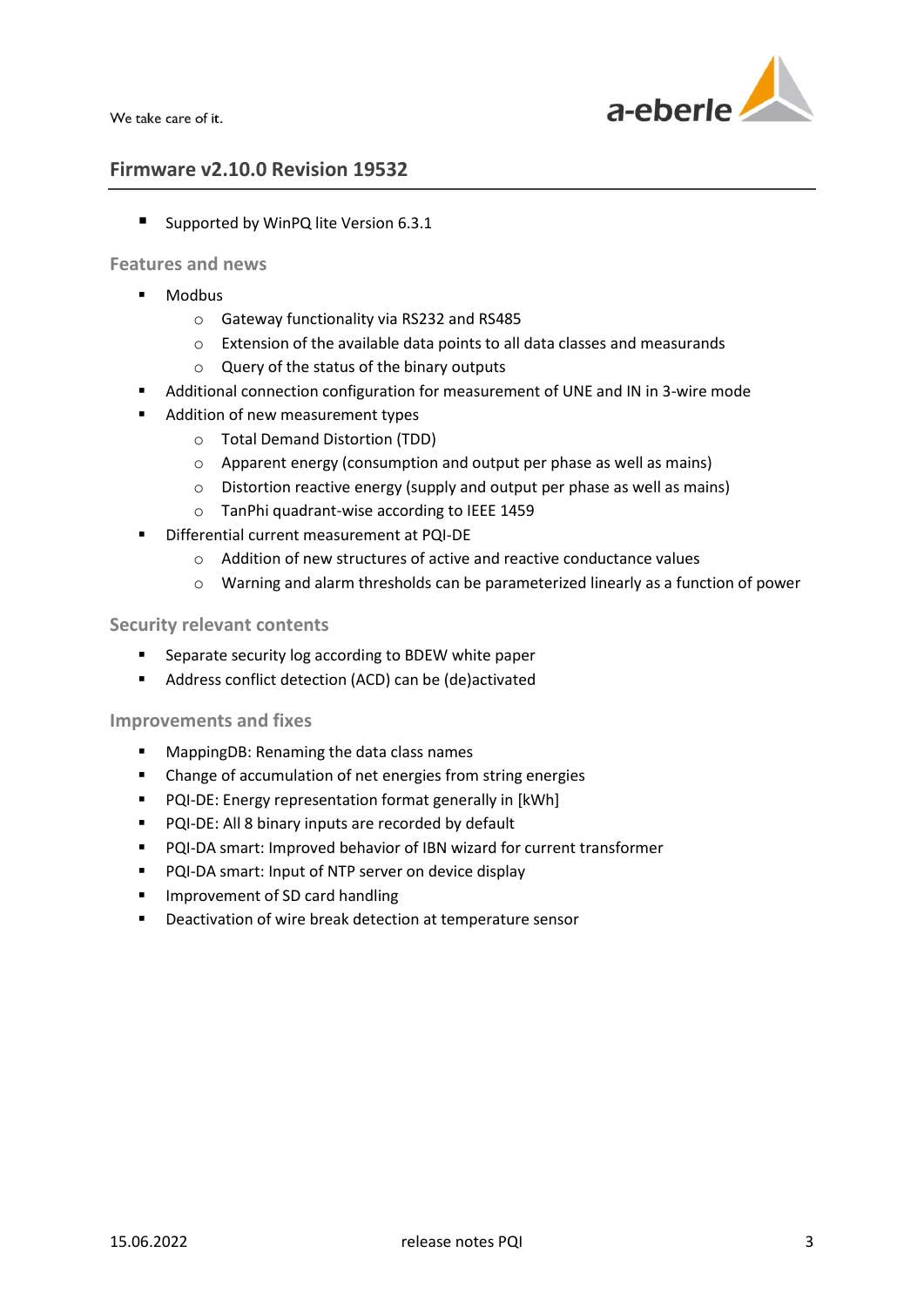

## **Firmware v2.10.0 Revision 19532**

■ Supported by WinPQ lite Version 6.3.1

## **Features and news**

- **Modbus** 
	- o Gateway functionality via RS232 and RS485
	- o Extension of the available data points to all data classes and measurands
	- o Query of the status of the binary outputs
- Additional connection configuration for measurement of UNE and IN in 3-wire mode
- Addition of new measurement types
	- o Total Demand Distortion (TDD)
	- o Apparent energy (consumption and output per phase as well as mains)
	- o Distortion reactive energy (supply and output per phase as well as mains)
	- o TanPhi quadrant-wise according to IEEE 1459
- Differential current measurement at PQI-DE
	- o Addition of new structures of active and reactive conductance values
	- o Warning and alarm thresholds can be parameterized linearly as a function of power

## **Security relevant contents**

- Separate security log according to BDEW white paper
- Address conflict detection (ACD) can be (de)activated

- **MappingDB: Renaming the data class names**
- Change of accumulation of net energies from string energies
- **PQI-DE:** Energy representation format generally in [kWh]
- **PQI-DE: All 8 binary inputs are recorded by default**
- PQI-DA smart: Improved behavior of IBN wizard for current transformer
- **PQI-DA smart: Input of NTP server on device display**
- **IMPROVEMENT OF SD card handling**
- Deactivation of wire break detection at temperature sensor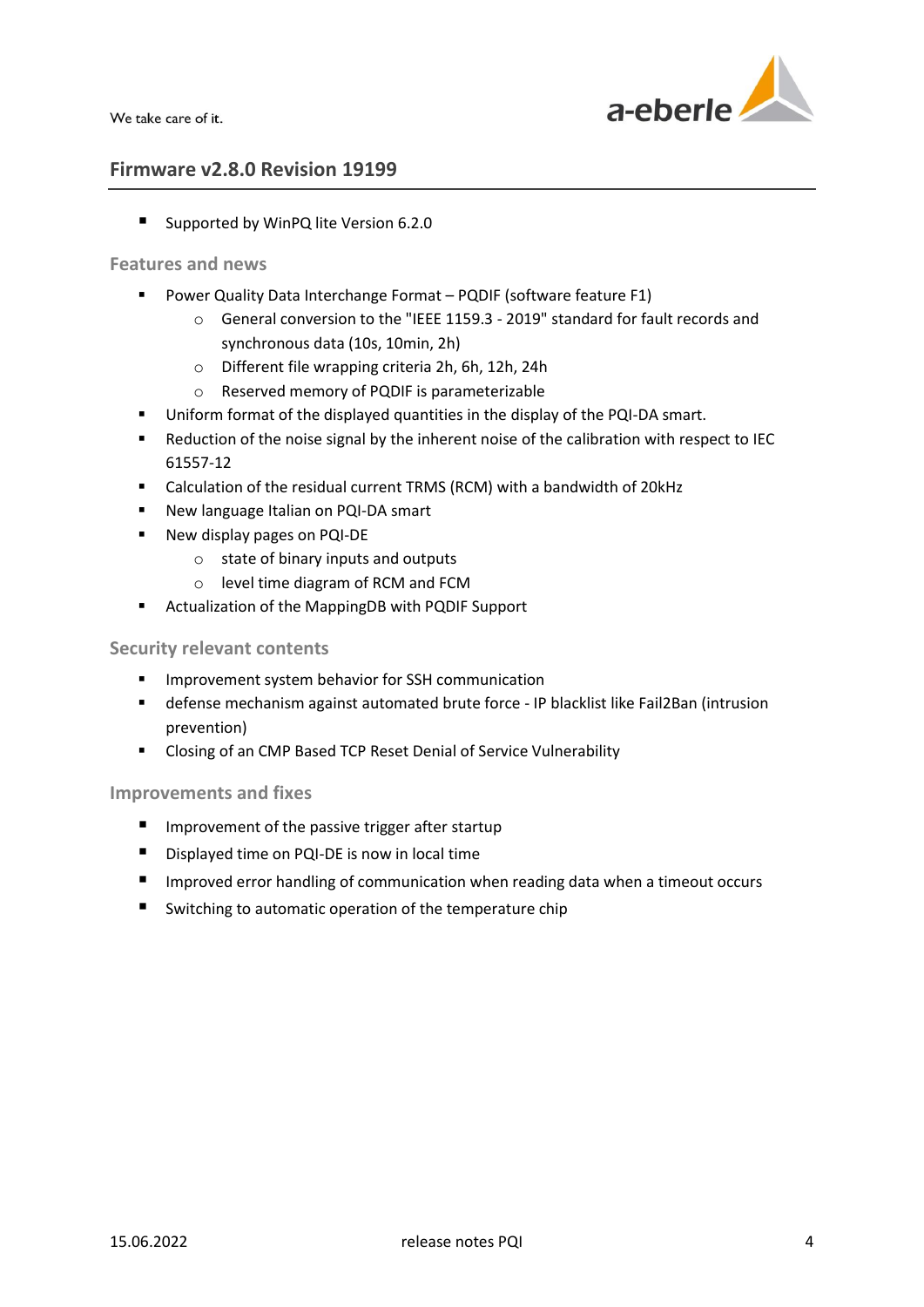

## **Firmware v2.8.0 Revision 19199**

■ Supported by WinPQ lite Version 6.2.0

## **Features and news**

- **Power Quality Data Interchange Format PQDIF (software feature F1)** 
	- o General conversion to the "IEEE 1159.3 2019" standard for fault records and synchronous data (10s, 10min, 2h)
	- o Different file wrapping criteria 2h, 6h, 12h, 24h
	- o Reserved memory of PQDIF is parameterizable
- **Uniform format of the displayed quantities in the display of the PQI-DA smart.**
- Reduction of the noise signal by the inherent noise of the calibration with respect to IEC 61557-12
- Calculation of the residual current TRMS (RCM) with a bandwidth of 20kHz
- **New language Italian on PQI-DA smart**
- New display pages on PQI-DE
	- o state of binary inputs and outputs
	- o level time diagram of RCM and FCM
- Actualization of the MappingDB with PQDIF Support

#### **Security relevant contents**

- **IMPROVEMENT System behavior for SSH communication**
- defense mechanism against automated brute force IP blacklist like Fail2Ban (intrusion prevention)
- Closing of an CMP Based TCP Reset Denial of Service Vulnerability

- **IMPROVEMENT OF the passive trigger after startup**
- Displayed time on PQI-DE is now in local time
- **IMP** Improved error handling of communication when reading data when a timeout occurs
- Switching to automatic operation of the temperature chip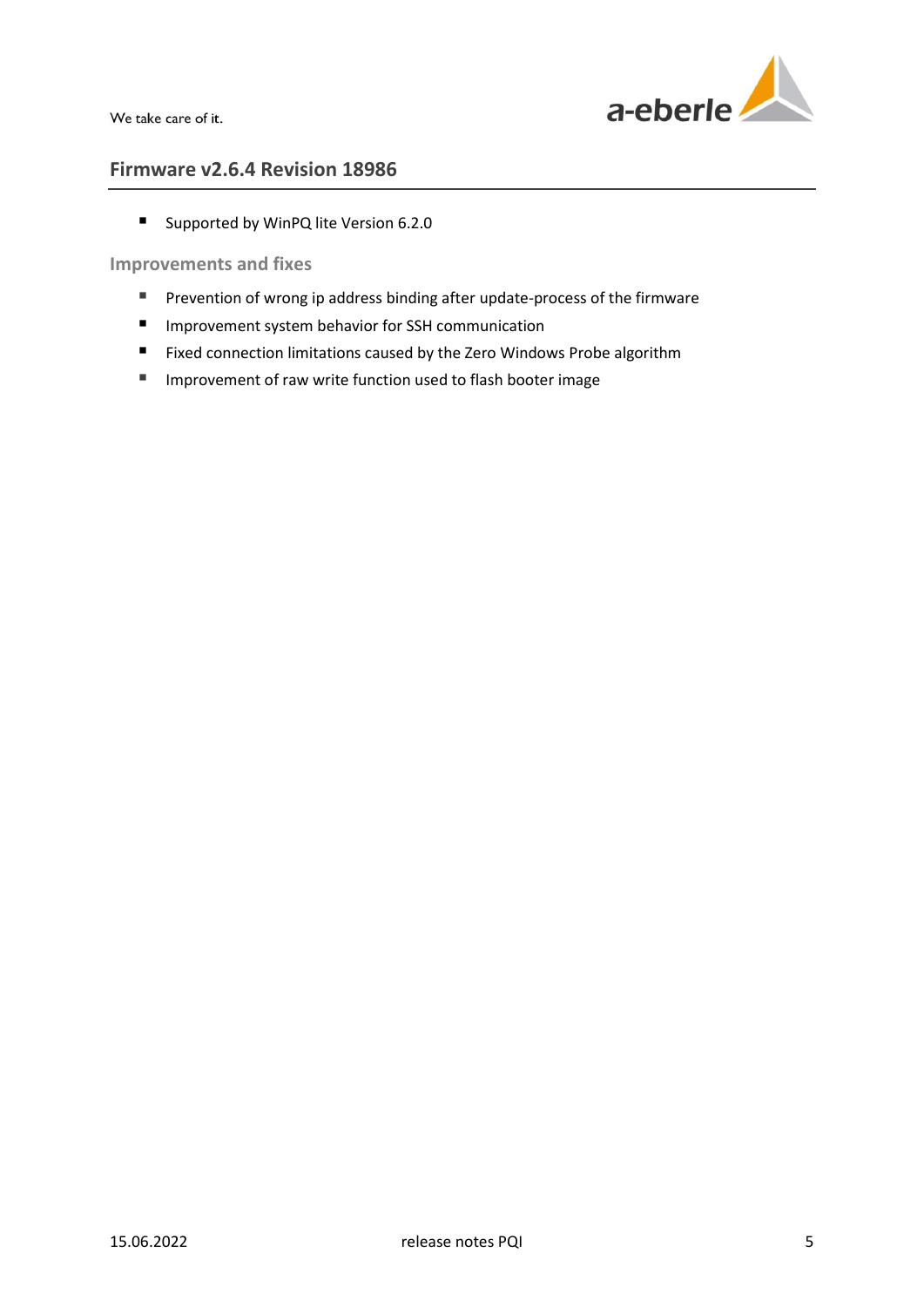

## **Firmware v2.6.4 Revision 18986**

■ Supported by WinPQ lite Version 6.2.0

- Prevention of wrong ip address binding after update-process of the firmware
- **Improvement system behavior for SSH communication**
- **Fixed connection limitations caused by the Zero Windows Probe algorithm**
- **IMPROM** Improvement of raw write function used to flash booter image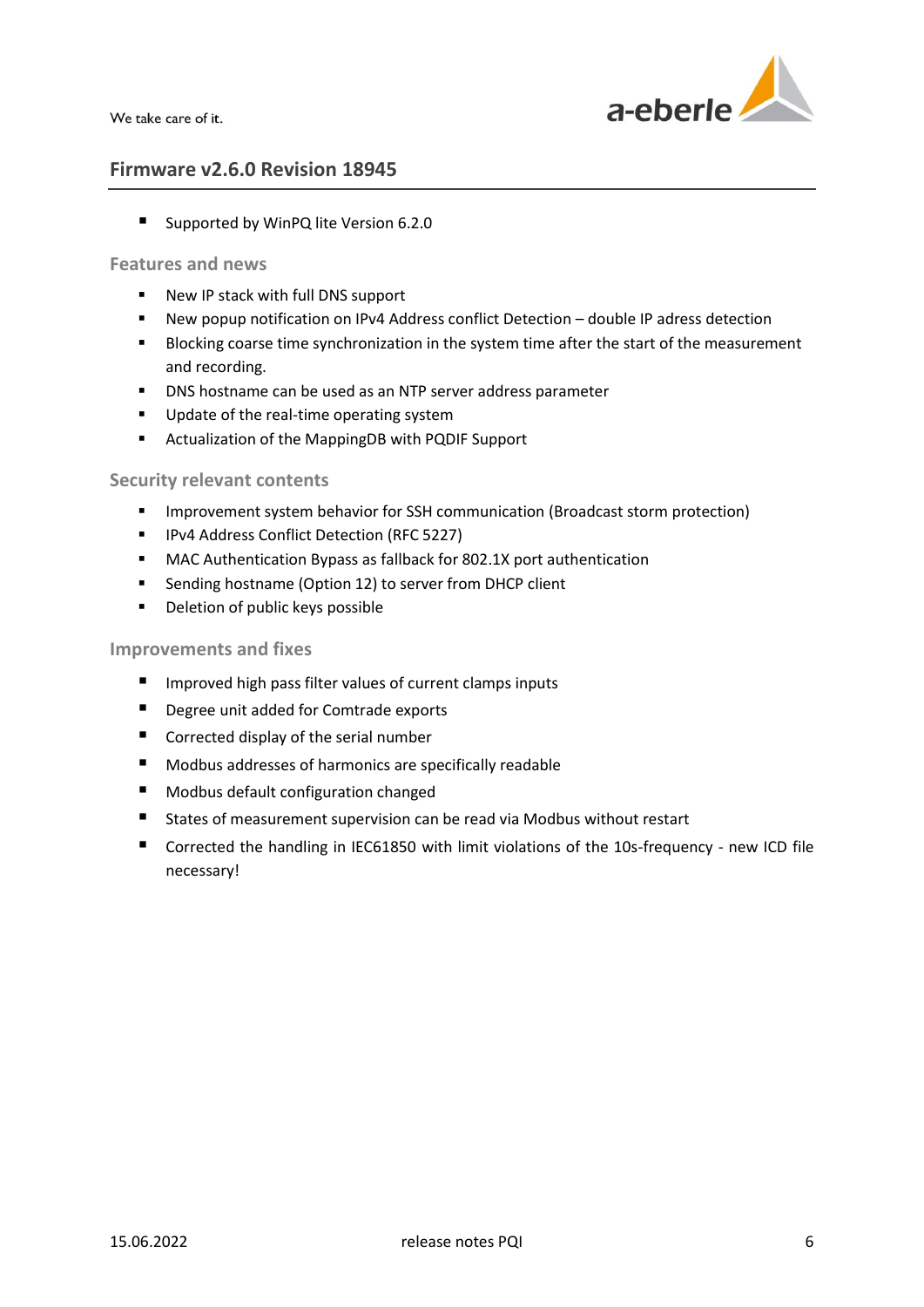

## **Firmware v2.6.0 Revision 18945**

■ Supported by WinPQ lite Version 6.2.0

## **Features and news**

- New IP stack with full DNS support
- New popup notification on IPv4 Address conflict Detection double IP adress detection
- **Blocking coarse time synchronization in the system time after the start of the measurement** and recording.
- **DNS** hostname can be used as an NTP server address parameter
- **Update of the real-time operating system**
- Actualization of the MappingDB with PQDIF Support

## **Security relevant contents**

- **IMPROVEMENT System behavior for SSH communication (Broadcast storm protection)**
- **IDV4 Address Conflict Detection (RFC 5227)**
- MAC Authentication Bypass as fallback for 802.1X port authentication
- **EXECT** Sending hostname (Option 12) to server from DHCP client
- **•** Deletion of public keys possible

- **IMPROVED HIGHT PASS FILTER VALUES OF CULTER COMPTS INPUTS**
- **Degree unit added for Comtrade exports**
- Corrected display of the serial number
- Modbus addresses of harmonics are specifically readable
- **Modbus default configuration changed**
- States of measurement supervision can be read via Modbus without restart
- Corrected the handling in IEC61850 with limit violations of the 10s-frequency new ICD file necessary!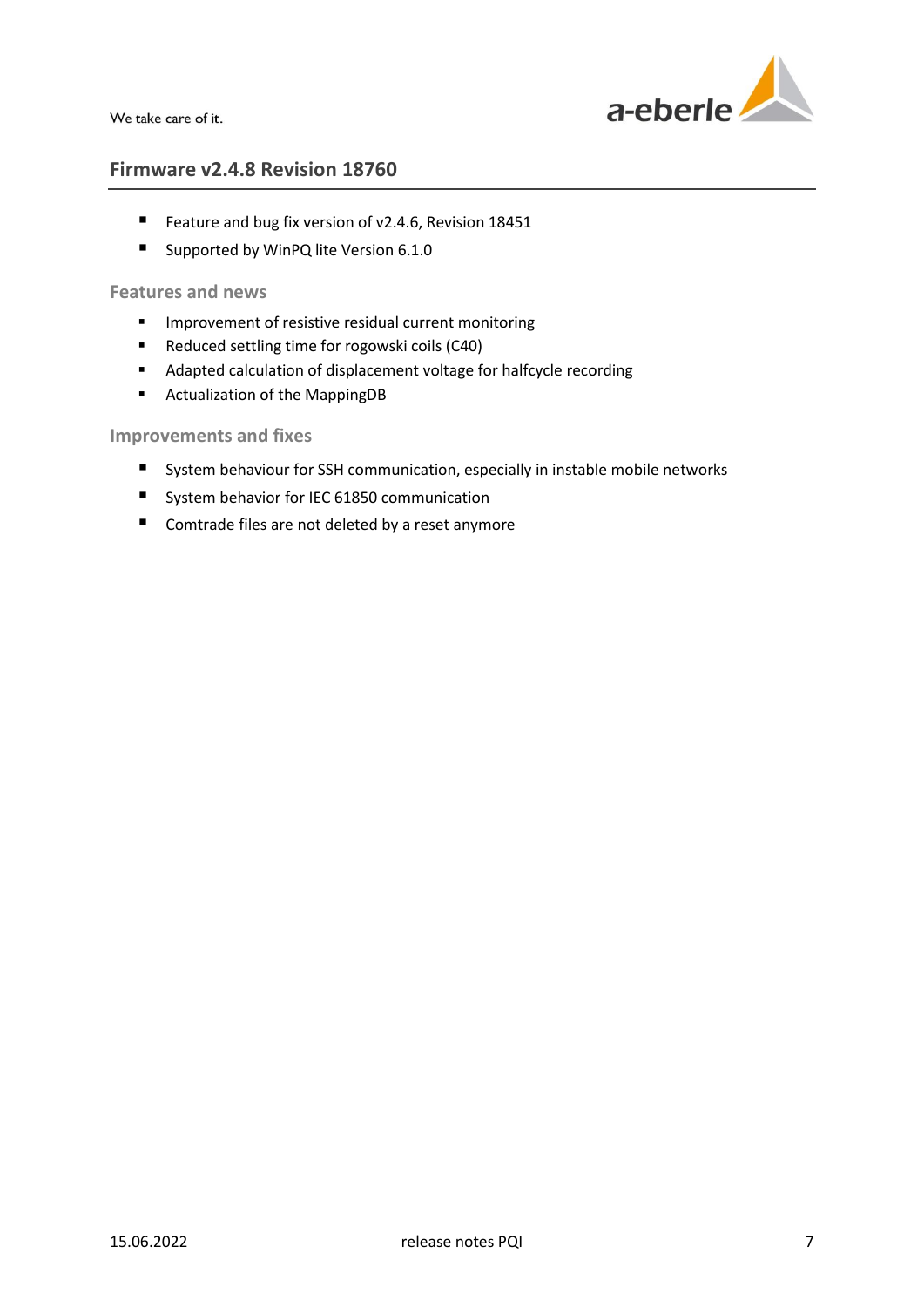

## **Firmware v2.4.8 Revision 18760**

- Feature and bug fix version of v2.4.6, Revision 18451
- Supported by WinPQ lite Version 6.1.0

## **Features and news**

- **IMPROVEMENT OF RESIST CONCRETE PROPERTY INCOCE**
- Reduced settling time for rogowski coils (C40)
- Adapted calculation of displacement voltage for halfcycle recording
- Actualization of the MappingDB

- System behaviour for SSH communication, especially in instable mobile networks
- System behavior for IEC 61850 communication
- Comtrade files are not deleted by a reset anymore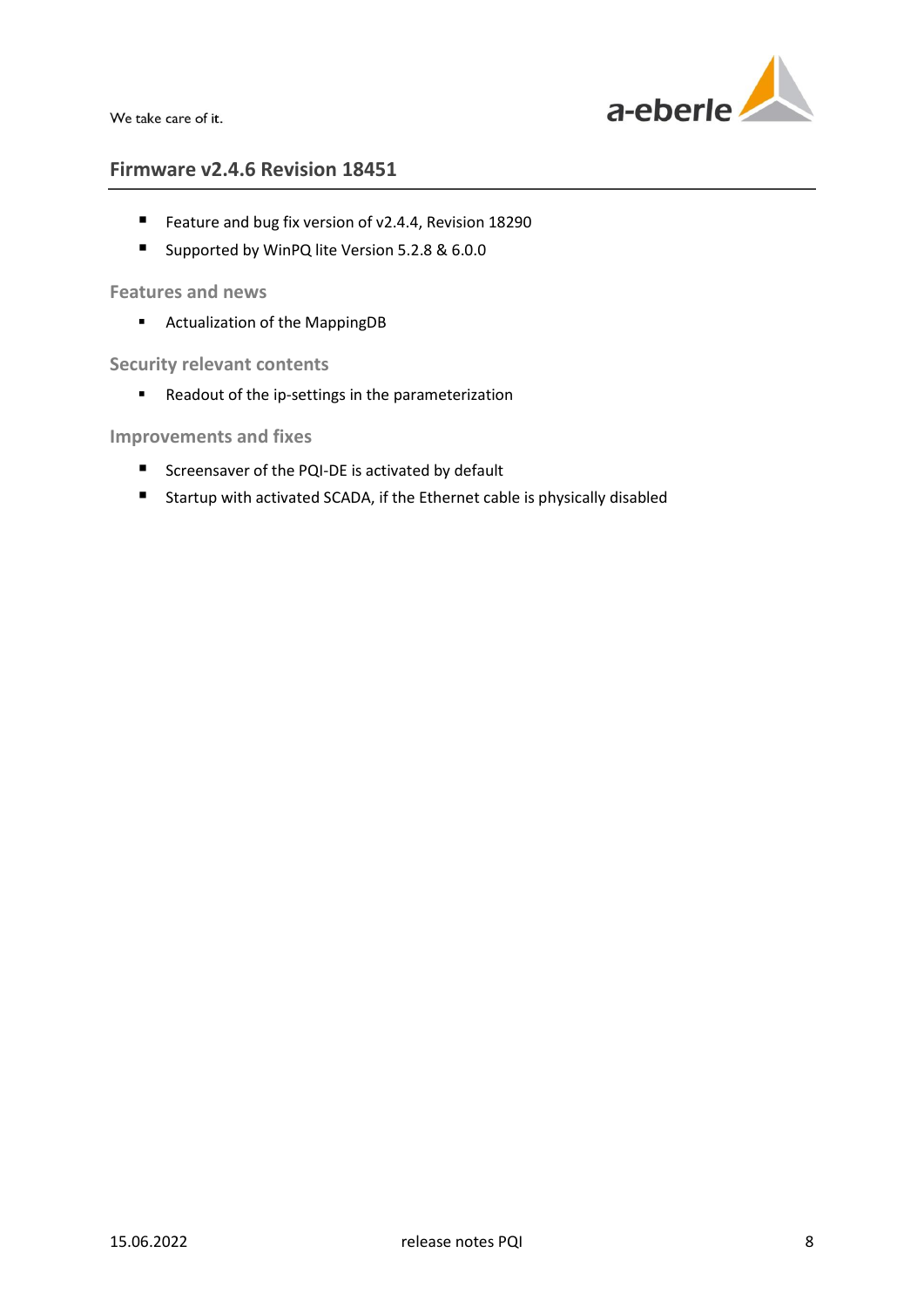

## **Firmware v2.4.6 Revision 18451**

- Feature and bug fix version of v2.4.4, Revision 18290
- Supported by WinPQ lite Version 5.2.8 & 6.0.0

## **Features and news**

Actualization of the MappingDB

**Security relevant contents**

Readout of the ip-settings in the parameterization

- Screensaver of the PQI-DE is activated by default
- Startup with activated SCADA, if the Ethernet cable is physically disabled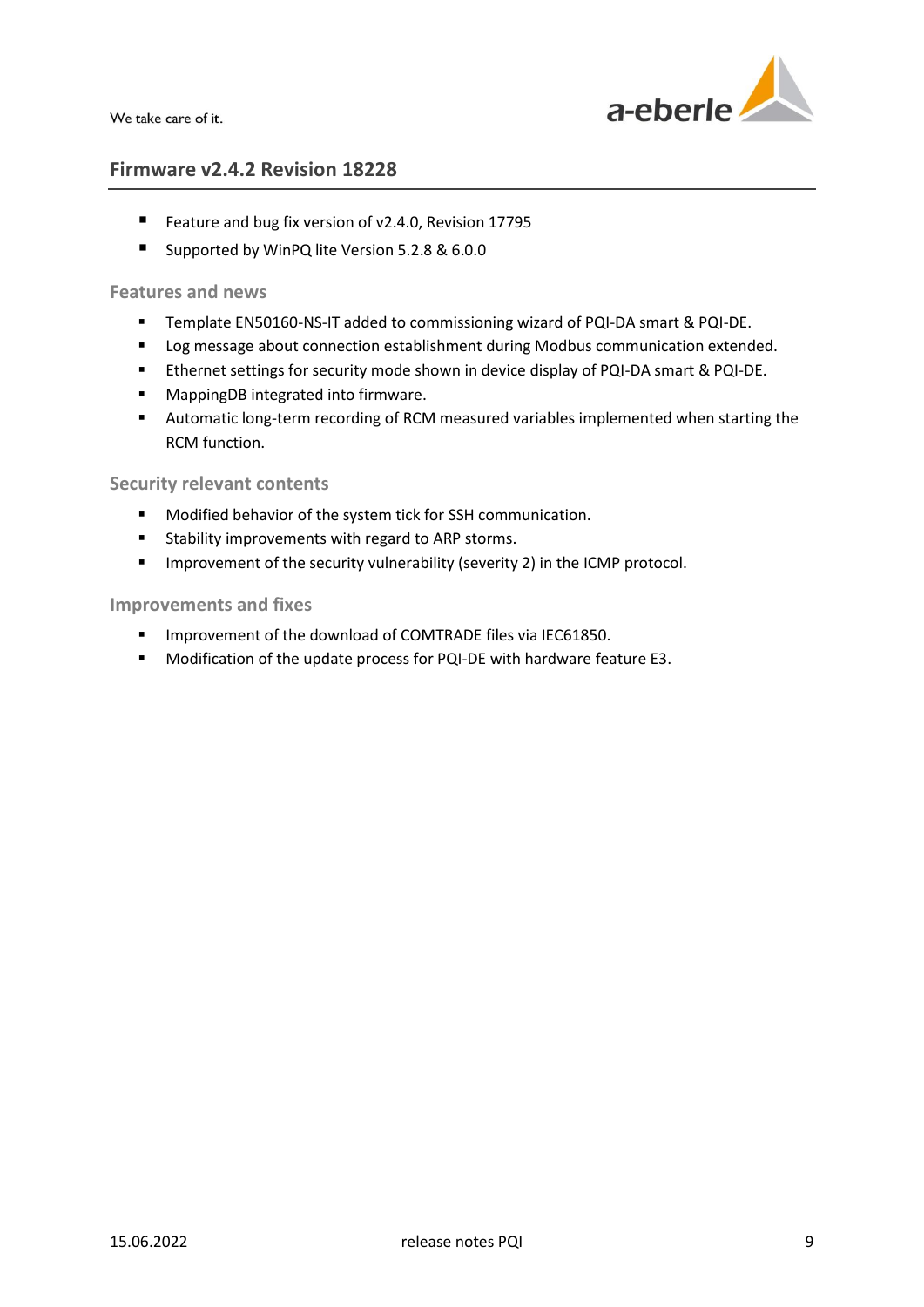

## **Firmware v2.4.2 Revision 18228**

- Feature and bug fix version of v2.4.0, Revision 17795
- Supported by WinPQ lite Version 5.2.8 & 6.0.0

#### **Features and news**

- **Template EN50160-NS-IT added to commissioning wizard of PQI-DA smart & PQI-DE.**
- **Log message about connection establishment during Modbus communication extended.**
- Ethernet settings for security mode shown in device display of PQI-DA smart & PQI-DE.
- **■** MappingDB integrated into firmware.
- Automatic long-term recording of RCM measured variables implemented when starting the RCM function.

## **Security relevant contents**

- **Modified behavior of the system tick for SSH communication.**
- **EXECT:** Stability improvements with regard to ARP storms.
- **IMPROM** 1mprovement of the security vulnerability (severity 2) in the ICMP protocol.

- **IMPROVEMENT OF the download of COMTRADE files via IEC61850.**
- Modification of the update process for PQI-DE with hardware feature E3.